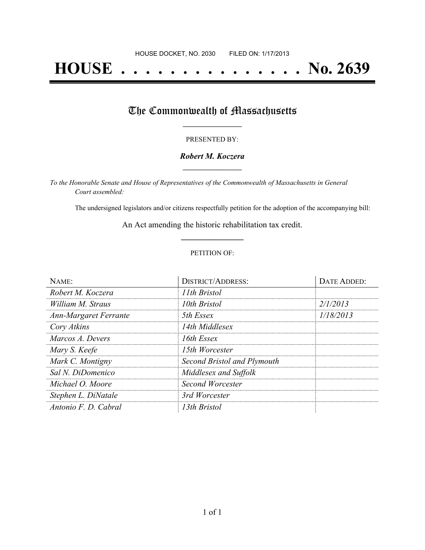# **HOUSE . . . . . . . . . . . . . . . No. 2639**

## The Commonwealth of Massachusetts

#### PRESENTED BY:

#### *Robert M. Koczera* **\_\_\_\_\_\_\_\_\_\_\_\_\_\_\_\_\_**

*To the Honorable Senate and House of Representatives of the Commonwealth of Massachusetts in General Court assembled:*

The undersigned legislators and/or citizens respectfully petition for the adoption of the accompanying bill:

An Act amending the historic rehabilitation tax credit. **\_\_\_\_\_\_\_\_\_\_\_\_\_\_\_**

#### PETITION OF:

| NAME:                        | <b>DISTRICT/ADDRESS:</b>    | DATE ADDED: |
|------------------------------|-----------------------------|-------------|
| Robert M. Koczera            | 11th Bristol                |             |
| William M. Straus            | 10th Bristol                | 2/1/2013    |
| <b>Ann-Margaret Ferrante</b> | 5th Essex                   | 1/18/2013   |
| Cory Atkins                  | 14th Middlesex              |             |
| Marcos A. Devers             | 16th Essex                  |             |
| Mary S. Keefe                | 15th Worcester              |             |
| Mark C. Montigny             | Second Bristol and Plymouth |             |
| Sal N. DiDomenico            | Middlesex and Suffolk       |             |
| Michael O. Moore             | Second Worcester            |             |
| Stephen L. DiNatale          | 3rd Worcester               |             |
| Antonio F. D. Cabral         | 13th Bristol                |             |